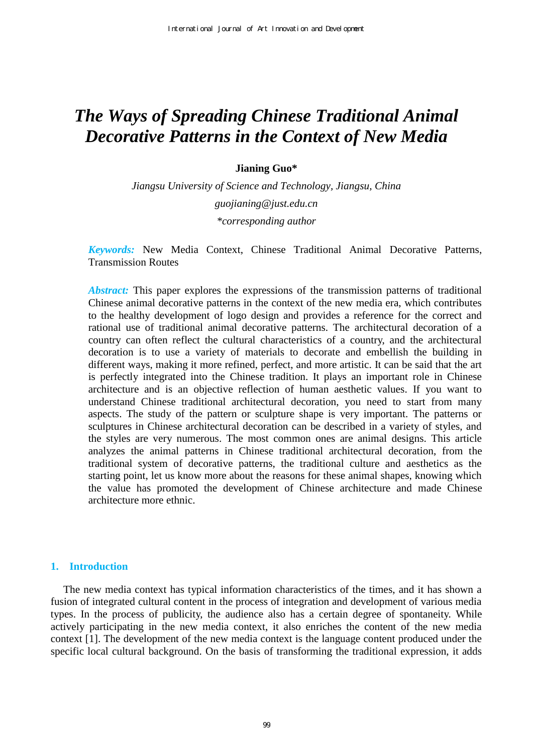# *The Ways of Spreading Chinese Traditional Animal Decorative Patterns in the Context of New Media*

### **Jianing Guo\***

*Jiangsu University of Science and Technology, Jiangsu, China guojianing@just.edu.cn \*corresponding author* 

*Keywords:* New Media Context, Chinese Traditional Animal Decorative Patterns, Transmission Routes

*Abstract:* This paper explores the expressions of the transmission patterns of traditional Chinese animal decorative patterns in the context of the new media era, which contributes to the healthy development of logo design and provides a reference for the correct and rational use of traditional animal decorative patterns. The architectural decoration of a country can often reflect the cultural characteristics of a country, and the architectural decoration is to use a variety of materials to decorate and embellish the building in different ways, making it more refined, perfect, and more artistic. It can be said that the art is perfectly integrated into the Chinese tradition. It plays an important role in Chinese architecture and is an objective reflection of human aesthetic values. If you want to understand Chinese traditional architectural decoration, you need to start from many aspects. The study of the pattern or sculpture shape is very important. The patterns or sculptures in Chinese architectural decoration can be described in a variety of styles, and the styles are very numerous. The most common ones are animal designs. This article analyzes the animal patterns in Chinese traditional architectural decoration, from the traditional system of decorative patterns, the traditional culture and aesthetics as the starting point, let us know more about the reasons for these animal shapes, knowing which the value has promoted the development of Chinese architecture and made Chinese architecture more ethnic.

# **1. Introduction**

The new media context has typical information characteristics of the times, and it has shown a fusion of integrated cultural content in the process of integration and development of various media types. In the process of publicity, the audience also has a certain degree of spontaneity. While actively participating in the new media context, it also enriches the content of the new media context [1]. The development of the new media context is the language content produced under the specific local cultural background. On the basis of transforming the traditional expression, it adds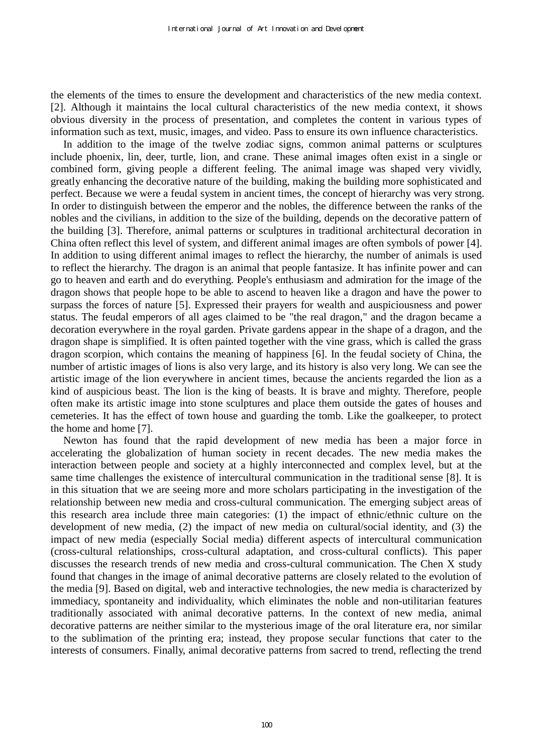the elements of the times to ensure the development and characteristics of the new media context. [2]. Although it maintains the local cultural characteristics of the new media context, it shows obvious diversity in the process of presentation, and completes the content in various types of information such as text, music, images, and video. Pass to ensure its own influence characteristics.

In addition to the image of the twelve zodiac signs, common animal patterns or sculptures include phoenix, lin, deer, turtle, lion, and crane. These animal images often exist in a single or combined form, giving people a different feeling. The animal image was shaped very vividly, greatly enhancing the decorative nature of the building, making the building more sophisticated and perfect. Because we were a feudal system in ancient times, the concept of hierarchy was very strong. In order to distinguish between the emperor and the nobles, the difference between the ranks of the nobles and the civilians, in addition to the size of the building, depends on the decorative pattern of the building [3]. Therefore, animal patterns or sculptures in traditional architectural decoration in China often reflect this level of system, and different animal images are often symbols of power [4]. In addition to using different animal images to reflect the hierarchy, the number of animals is used to reflect the hierarchy. The dragon is an animal that people fantasize. It has infinite power and can go to heaven and earth and do everything. People's enthusiasm and admiration for the image of the dragon shows that people hope to be able to ascend to heaven like a dragon and have the power to surpass the forces of nature [5]. Expressed their prayers for wealth and auspiciousness and power status. The feudal emperors of all ages claimed to be "the real dragon," and the dragon became a decoration everywhere in the royal garden. Private gardens appear in the shape of a dragon, and the dragon shape is simplified. It is often painted together with the vine grass, which is called the grass dragon scorpion, which contains the meaning of happiness [6]. In the feudal society of China, the number of artistic images of lions is also very large, and its history is also very long. We can see the artistic image of the lion everywhere in ancient times, because the ancients regarded the lion as a kind of auspicious beast. The lion is the king of beasts. It is brave and mighty. Therefore, people often make its artistic image into stone sculptures and place them outside the gates of houses and cemeteries. It has the effect of town house and guarding the tomb. Like the goalkeeper, to protect the home and home [7].

Newton has found that the rapid development of new media has been a major force in accelerating the globalization of human society in recent decades. The new media makes the interaction between people and society at a highly interconnected and complex level, but at the same time challenges the existence of intercultural communication in the traditional sense [8]. It is in this situation that we are seeing more and more scholars participating in the investigation of the relationship between new media and cross-cultural communication. The emerging subject areas of this research area include three main categories: (1) the impact of ethnic/ethnic culture on the development of new media, (2) the impact of new media on cultural/social identity, and (3) the impact of new media (especially Social media) different aspects of intercultural communication (cross-cultural relationships, cross-cultural adaptation, and cross-cultural conflicts). This paper discusses the research trends of new media and cross-cultural communication. The Chen X study found that changes in the image of animal decorative patterns are closely related to the evolution of the media [9]. Based on digital, web and interactive technologies, the new media is characterized by immediacy, spontaneity and individuality, which eliminates the noble and non-utilitarian features traditionally associated with animal decorative patterns. In the context of new media, animal decorative patterns are neither similar to the mysterious image of the oral literature era, nor similar to the sublimation of the printing era; instead, they propose secular functions that cater to the interests of consumers. Finally, animal decorative patterns from sacred to trend, reflecting the trend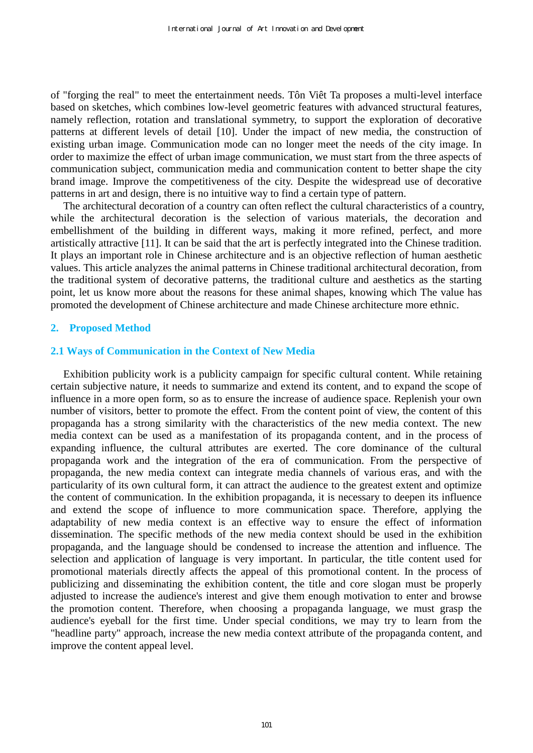of "forging the real" to meet the entertainment needs. Tôn Viêt Ta proposes a multi-level interface based on sketches, which combines low-level geometric features with advanced structural features, namely reflection, rotation and translational symmetry, to support the exploration of decorative patterns at different levels of detail [10]. Under the impact of new media, the construction of existing urban image. Communication mode can no longer meet the needs of the city image. In order to maximize the effect of urban image communication, we must start from the three aspects of communication subject, communication media and communication content to better shape the city brand image. Improve the competitiveness of the city. Despite the widespread use of decorative patterns in art and design, there is no intuitive way to find a certain type of pattern.

The architectural decoration of a country can often reflect the cultural characteristics of a country, while the architectural decoration is the selection of various materials, the decoration and embellishment of the building in different ways, making it more refined, perfect, and more artistically attractive [11]. It can be said that the art is perfectly integrated into the Chinese tradition. It plays an important role in Chinese architecture and is an objective reflection of human aesthetic values. This article analyzes the animal patterns in Chinese traditional architectural decoration, from the traditional system of decorative patterns, the traditional culture and aesthetics as the starting point, let us know more about the reasons for these animal shapes, knowing which The value has promoted the development of Chinese architecture and made Chinese architecture more ethnic.

# **2. Proposed Method**

# **2.1 Ways of Communication in the Context of New Media**

Exhibition publicity work is a publicity campaign for specific cultural content. While retaining certain subjective nature, it needs to summarize and extend its content, and to expand the scope of influence in a more open form, so as to ensure the increase of audience space. Replenish your own number of visitors, better to promote the effect. From the content point of view, the content of this propaganda has a strong similarity with the characteristics of the new media context. The new media context can be used as a manifestation of its propaganda content, and in the process of expanding influence, the cultural attributes are exerted. The core dominance of the cultural propaganda work and the integration of the era of communication. From the perspective of propaganda, the new media context can integrate media channels of various eras, and with the particularity of its own cultural form, it can attract the audience to the greatest extent and optimize the content of communication. In the exhibition propaganda, it is necessary to deepen its influence and extend the scope of influence to more communication space. Therefore, applying the adaptability of new media context is an effective way to ensure the effect of information dissemination. The specific methods of the new media context should be used in the exhibition propaganda, and the language should be condensed to increase the attention and influence. The selection and application of language is very important. In particular, the title content used for promotional materials directly affects the appeal of this promotional content. In the process of publicizing and disseminating the exhibition content, the title and core slogan must be properly adjusted to increase the audience's interest and give them enough motivation to enter and browse the promotion content. Therefore, when choosing a propaganda language, we must grasp the audience's eyeball for the first time. Under special conditions, we may try to learn from the "headline party" approach, increase the new media context attribute of the propaganda content, and improve the content appeal level.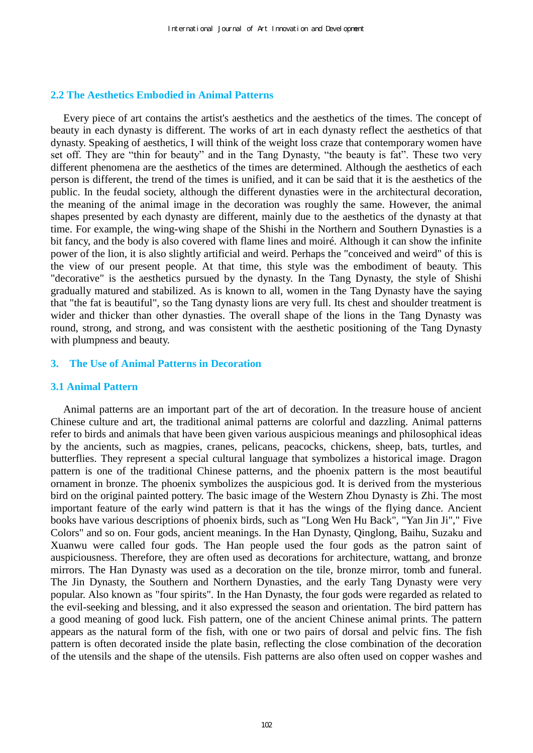# **2.2 The Aesthetics Embodied in Animal Patterns**

Every piece of art contains the artist's aesthetics and the aesthetics of the times. The concept of beauty in each dynasty is different. The works of art in each dynasty reflect the aesthetics of that dynasty. Speaking of aesthetics, I will think of the weight loss craze that contemporary women have set off. They are "thin for beauty" and in the Tang Dynasty, "the beauty is fat". These two very different phenomena are the aesthetics of the times are determined. Although the aesthetics of each person is different, the trend of the times is unified, and it can be said that it is the aesthetics of the public. In the feudal society, although the different dynasties were in the architectural decoration, the meaning of the animal image in the decoration was roughly the same. However, the animal shapes presented by each dynasty are different, mainly due to the aesthetics of the dynasty at that time. For example, the wing-wing shape of the Shishi in the Northern and Southern Dynasties is a bit fancy, and the body is also covered with flame lines and moiré. Although it can show the infinite power of the lion, it is also slightly artificial and weird. Perhaps the "conceived and weird" of this is the view of our present people. At that time, this style was the embodiment of beauty. This "decorative" is the aesthetics pursued by the dynasty. In the Tang Dynasty, the style of Shishi gradually matured and stabilized. As is known to all, women in the Tang Dynasty have the saying that "the fat is beautiful", so the Tang dynasty lions are very full. Its chest and shoulder treatment is wider and thicker than other dynasties. The overall shape of the lions in the Tang Dynasty was round, strong, and strong, and was consistent with the aesthetic positioning of the Tang Dynasty with plumpness and beauty.

### **3. The Use of Animal Patterns in Decoration**

#### **3.1 Animal Pattern**

Animal patterns are an important part of the art of decoration. In the treasure house of ancient Chinese culture and art, the traditional animal patterns are colorful and dazzling. Animal patterns refer to birds and animals that have been given various auspicious meanings and philosophical ideas by the ancients, such as magpies, cranes, pelicans, peacocks, chickens, sheep, bats, turtles, and butterflies. They represent a special cultural language that symbolizes a historical image. Dragon pattern is one of the traditional Chinese patterns, and the phoenix pattern is the most beautiful ornament in bronze. The phoenix symbolizes the auspicious god. It is derived from the mysterious bird on the original painted pottery. The basic image of the Western Zhou Dynasty is Zhi. The most important feature of the early wind pattern is that it has the wings of the flying dance. Ancient books have various descriptions of phoenix birds, such as "Long Wen Hu Back", "Yan Jin Ji"," Five Colors" and so on. Four gods, ancient meanings. In the Han Dynasty, Qinglong, Baihu, Suzaku and Xuanwu were called four gods. The Han people used the four gods as the patron saint of auspiciousness. Therefore, they are often used as decorations for architecture, wattang, and bronze mirrors. The Han Dynasty was used as a decoration on the tile, bronze mirror, tomb and funeral. The Jin Dynasty, the Southern and Northern Dynasties, and the early Tang Dynasty were very popular. Also known as "four spirits". In the Han Dynasty, the four gods were regarded as related to the evil-seeking and blessing, and it also expressed the season and orientation. The bird pattern has a good meaning of good luck. Fish pattern, one of the ancient Chinese animal prints. The pattern appears as the natural form of the fish, with one or two pairs of dorsal and pelvic fins. The fish pattern is often decorated inside the plate basin, reflecting the close combination of the decoration of the utensils and the shape of the utensils. Fish patterns are also often used on copper washes and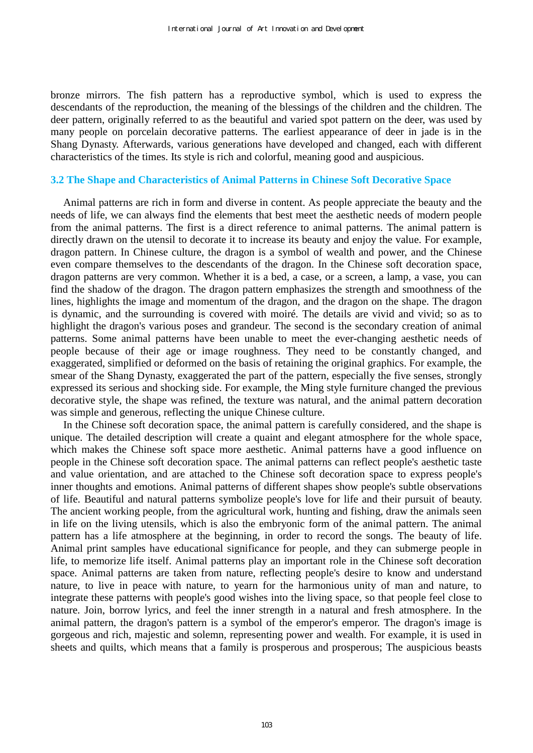bronze mirrors. The fish pattern has a reproductive symbol, which is used to express the descendants of the reproduction, the meaning of the blessings of the children and the children. The deer pattern, originally referred to as the beautiful and varied spot pattern on the deer, was used by many people on porcelain decorative patterns. The earliest appearance of deer in jade is in the Shang Dynasty. Afterwards, various generations have developed and changed, each with different characteristics of the times. Its style is rich and colorful, meaning good and auspicious.

#### **3.2 The Shape and Characteristics of Animal Patterns in Chinese Soft Decorative Space**

Animal patterns are rich in form and diverse in content. As people appreciate the beauty and the needs of life, we can always find the elements that best meet the aesthetic needs of modern people from the animal patterns. The first is a direct reference to animal patterns. The animal pattern is directly drawn on the utensil to decorate it to increase its beauty and enjoy the value. For example, dragon pattern. In Chinese culture, the dragon is a symbol of wealth and power, and the Chinese even compare themselves to the descendants of the dragon. In the Chinese soft decoration space, dragon patterns are very common. Whether it is a bed, a case, or a screen, a lamp, a vase, you can find the shadow of the dragon. The dragon pattern emphasizes the strength and smoothness of the lines, highlights the image and momentum of the dragon, and the dragon on the shape. The dragon is dynamic, and the surrounding is covered with moiré. The details are vivid and vivid; so as to highlight the dragon's various poses and grandeur. The second is the secondary creation of animal patterns. Some animal patterns have been unable to meet the ever-changing aesthetic needs of people because of their age or image roughness. They need to be constantly changed, and exaggerated, simplified or deformed on the basis of retaining the original graphics. For example, the smear of the Shang Dynasty, exaggerated the part of the pattern, especially the five senses, strongly expressed its serious and shocking side. For example, the Ming style furniture changed the previous decorative style, the shape was refined, the texture was natural, and the animal pattern decoration was simple and generous, reflecting the unique Chinese culture.

In the Chinese soft decoration space, the animal pattern is carefully considered, and the shape is unique. The detailed description will create a quaint and elegant atmosphere for the whole space, which makes the Chinese soft space more aesthetic. Animal patterns have a good influence on people in the Chinese soft decoration space. The animal patterns can reflect people's aesthetic taste and value orientation, and are attached to the Chinese soft decoration space to express people's inner thoughts and emotions. Animal patterns of different shapes show people's subtle observations of life. Beautiful and natural patterns symbolize people's love for life and their pursuit of beauty. The ancient working people, from the agricultural work, hunting and fishing, draw the animals seen in life on the living utensils, which is also the embryonic form of the animal pattern. The animal pattern has a life atmosphere at the beginning, in order to record the songs. The beauty of life. Animal print samples have educational significance for people, and they can submerge people in life, to memorize life itself. Animal patterns play an important role in the Chinese soft decoration space. Animal patterns are taken from nature, reflecting people's desire to know and understand nature, to live in peace with nature, to yearn for the harmonious unity of man and nature, to integrate these patterns with people's good wishes into the living space, so that people feel close to nature. Join, borrow lyrics, and feel the inner strength in a natural and fresh atmosphere. In the animal pattern, the dragon's pattern is a symbol of the emperor's emperor. The dragon's image is gorgeous and rich, majestic and solemn, representing power and wealth. For example, it is used in sheets and quilts, which means that a family is prosperous and prosperous; The auspicious beasts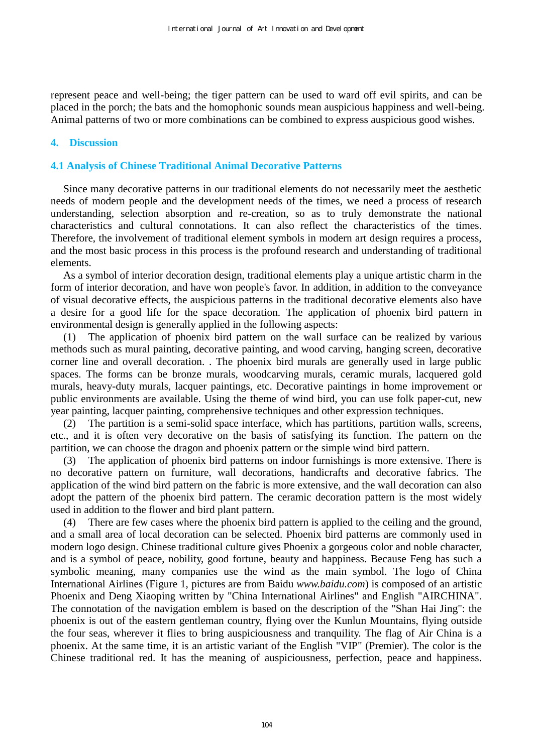represent peace and well-being; the tiger pattern can be used to ward off evil spirits, and can be placed in the porch; the bats and the homophonic sounds mean auspicious happiness and well-being. Animal patterns of two or more combinations can be combined to express auspicious good wishes.

# **4. Discussion**

# **4.1 Analysis of Chinese Traditional Animal Decorative Patterns**

Since many decorative patterns in our traditional elements do not necessarily meet the aesthetic needs of modern people and the development needs of the times, we need a process of research understanding, selection absorption and re-creation, so as to truly demonstrate the national characteristics and cultural connotations. It can also reflect the characteristics of the times. Therefore, the involvement of traditional element symbols in modern art design requires a process, and the most basic process in this process is the profound research and understanding of traditional elements.

As a symbol of interior decoration design, traditional elements play a unique artistic charm in the form of interior decoration, and have won people's favor. In addition, in addition to the conveyance of visual decorative effects, the auspicious patterns in the traditional decorative elements also have a desire for a good life for the space decoration. The application of phoenix bird pattern in environmental design is generally applied in the following aspects:

(1) The application of phoenix bird pattern on the wall surface can be realized by various methods such as mural painting, decorative painting, and wood carving, hanging screen, decorative corner line and overall decoration. . The phoenix bird murals are generally used in large public spaces. The forms can be bronze murals, woodcarving murals, ceramic murals, lacquered gold murals, heavy-duty murals, lacquer paintings, etc. Decorative paintings in home improvement or public environments are available. Using the theme of wind bird, you can use folk paper-cut, new year painting, lacquer painting, comprehensive techniques and other expression techniques.

(2) The partition is a semi-solid space interface, which has partitions, partition walls, screens, etc., and it is often very decorative on the basis of satisfying its function. The pattern on the partition, we can choose the dragon and phoenix pattern or the simple wind bird pattern.

(3) The application of phoenix bird patterns on indoor furnishings is more extensive. There is no decorative pattern on furniture, wall decorations, handicrafts and decorative fabrics. The application of the wind bird pattern on the fabric is more extensive, and the wall decoration can also adopt the pattern of the phoenix bird pattern. The ceramic decoration pattern is the most widely used in addition to the flower and bird plant pattern.

(4) There are few cases where the phoenix bird pattern is applied to the ceiling and the ground, and a small area of local decoration can be selected. Phoenix bird patterns are commonly used in modern logo design. Chinese traditional culture gives Phoenix a gorgeous color and noble character, and is a symbol of peace, nobility, good fortune, beauty and happiness. Because Feng has such a symbolic meaning, many companies use the wind as the main symbol. The logo of China International Airlines (Figure 1, pictures are from Baidu *www.baidu.com*) is composed of an artistic Phoenix and Deng Xiaoping written by "China International Airlines" and English "AIRCHINA". The connotation of the navigation emblem is based on the description of the "Shan Hai Jing": the phoenix is out of the eastern gentleman country, flying over the Kunlun Mountains, flying outside the four seas, wherever it flies to bring auspiciousness and tranquility. The flag of Air China is a phoenix. At the same time, it is an artistic variant of the English "VIP" (Premier). The color is the Chinese traditional red. It has the meaning of auspiciousness, perfection, peace and happiness.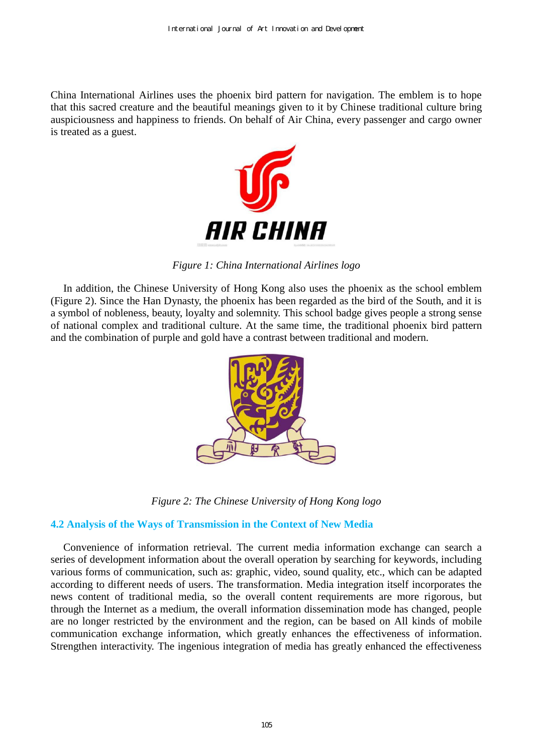China International Airlines uses the phoenix bird pattern for navigation. The emblem is to hope that this sacred creature and the beautiful meanings given to it by Chinese traditional culture bring auspiciousness and happiness to friends. On behalf of Air China, every passenger and cargo owner is treated as a guest.



*Figure 1: China International Airlines logo* 

In addition, the Chinese University of Hong Kong also uses the phoenix as the school emblem (Figure 2). Since the Han Dynasty, the phoenix has been regarded as the bird of the South, and it is a symbol of nobleness, beauty, loyalty and solemnity. This school badge gives people a strong sense of national complex and traditional culture. At the same time, the traditional phoenix bird pattern and the combination of purple and gold have a contrast between traditional and modern.



*Figure 2: The Chinese University of Hong Kong logo* 

# **4.2 Analysis of the Ways of Transmission in the Context of New Media**

Convenience of information retrieval. The current media information exchange can search a series of development information about the overall operation by searching for keywords, including various forms of communication, such as: graphic, video, sound quality, etc., which can be adapted according to different needs of users. The transformation. Media integration itself incorporates the news content of traditional media, so the overall content requirements are more rigorous, but through the Internet as a medium, the overall information dissemination mode has changed, people are no longer restricted by the environment and the region, can be based on All kinds of mobile communication exchange information, which greatly enhances the effectiveness of information. Strengthen interactivity. The ingenious integration of media has greatly enhanced the effectiveness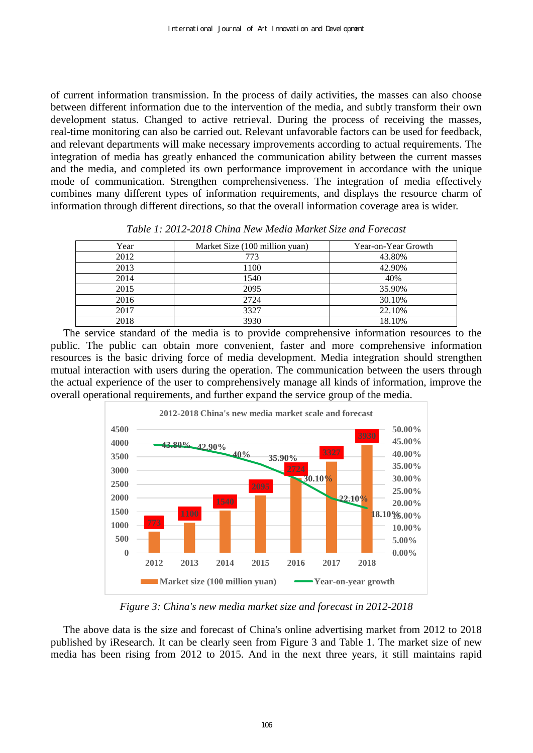of current information transmission. In the process of daily activities, the masses can also choose between different information due to the intervention of the media, and subtly transform their own development status. Changed to active retrieval. During the process of receiving the masses, real-time monitoring can also be carried out. Relevant unfavorable factors can be used for feedback, and relevant departments will make necessary improvements according to actual requirements. The integration of media has greatly enhanced the communication ability between the current masses and the media, and completed its own performance improvement in accordance with the unique mode of communication. Strengthen comprehensiveness. The integration of media effectively combines many different types of information requirements, and displays the resource charm of information through different directions, so that the overall information coverage area is wider.

| Year | Market Size (100 million yuan) | Year-on-Year Growth |
|------|--------------------------------|---------------------|
| 2012 | 773                            | 43.80%              |
| 2013 | 1100                           | 42.90%              |
| 2014 | 1540                           | 40%                 |
| 2015 | 2095                           | 35.90%              |
| 2016 | 2724                           | 30.10%              |
| 2017 | 3327                           | 22.10%              |
| 2018 | 3930                           | 18.10%              |

*Table 1: 2012-2018 China New Media Market Size and Forecast* 

The service standard of the media is to provide comprehensive information resources to the public. The public can obtain more convenient, faster and more comprehensive information resources is the basic driving force of media development. Media integration should strengthen mutual interaction with users during the operation. The communication between the users through the actual experience of the user to comprehensively manage all kinds of information, improve the overall operational requirements, and further expand the service group of the media.



*Figure 3: China's new media market size and forecast in 2012-2018*

The above data is the size and forecast of China's online advertising market from 2012 to 2018 published by iResearch. It can be clearly seen from Figure 3 and Table 1. The market size of new media has been rising from 2012 to 2015. And in the next three years, it still maintains rapid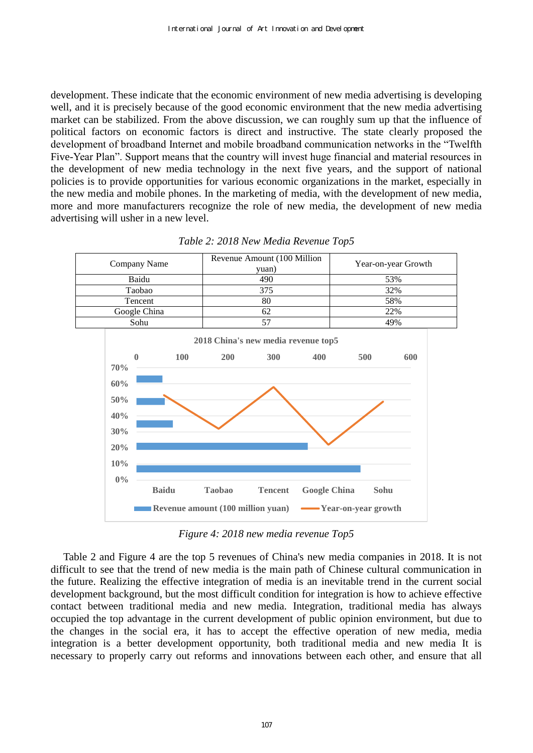development. These indicate that the economic environment of new media advertising is developing well, and it is precisely because of the good economic environment that the new media advertising market can be stabilized. From the above discussion, we can roughly sum up that the influence of political factors on economic factors is direct and instructive. The state clearly proposed the development of broadband Internet and mobile broadband communication networks in the "Twelfth Five-Year Plan". Support means that the country will invest huge financial and material resources in the development of new media technology in the next five years, and the support of national policies is to provide opportunities for various economic organizations in the market, especially in the new media and mobile phones. In the marketing of media, with the development of new media, more and more manufacturers recognize the role of new media, the development of new media advertising will usher in a new level.



*Table 2: 2018 New Media Revenue Top5* 

*Figure 4: 2018 new media revenue Top5*

Table 2 and Figure 4 are the top 5 revenues of China's new media companies in 2018. It is not difficult to see that the trend of new media is the main path of Chinese cultural communication in the future. Realizing the effective integration of media is an inevitable trend in the current social development background, but the most difficult condition for integration is how to achieve effective contact between traditional media and new media. Integration, traditional media has always occupied the top advantage in the current development of public opinion environment, but due to the changes in the social era, it has to accept the effective operation of new media, media integration is a better development opportunity, both traditional media and new media It is necessary to properly carry out reforms and innovations between each other, and ensure that all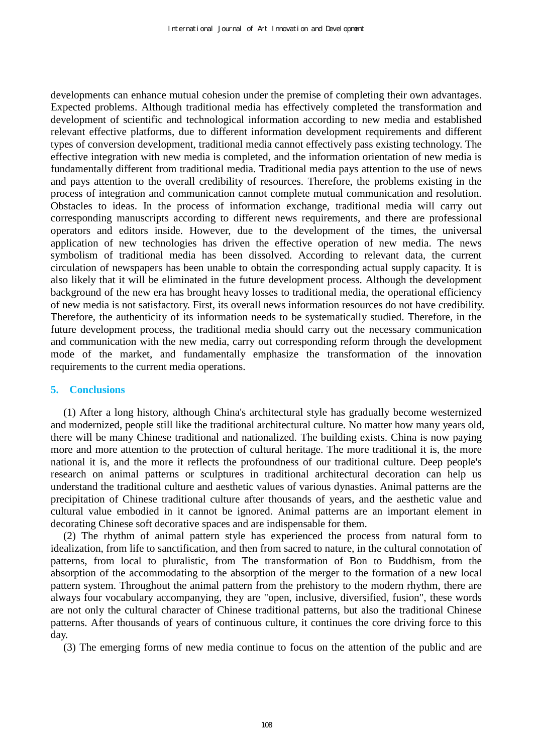developments can enhance mutual cohesion under the premise of completing their own advantages. Expected problems. Although traditional media has effectively completed the transformation and development of scientific and technological information according to new media and established relevant effective platforms, due to different information development requirements and different types of conversion development, traditional media cannot effectively pass existing technology. The effective integration with new media is completed, and the information orientation of new media is fundamentally different from traditional media. Traditional media pays attention to the use of news and pays attention to the overall credibility of resources. Therefore, the problems existing in the process of integration and communication cannot complete mutual communication and resolution. Obstacles to ideas. In the process of information exchange, traditional media will carry out corresponding manuscripts according to different news requirements, and there are professional operators and editors inside. However, due to the development of the times, the universal application of new technologies has driven the effective operation of new media. The news symbolism of traditional media has been dissolved. According to relevant data, the current circulation of newspapers has been unable to obtain the corresponding actual supply capacity. It is also likely that it will be eliminated in the future development process. Although the development background of the new era has brought heavy losses to traditional media, the operational efficiency of new media is not satisfactory. First, its overall news information resources do not have credibility. Therefore, the authenticity of its information needs to be systematically studied. Therefore, in the future development process, the traditional media should carry out the necessary communication and communication with the new media, carry out corresponding reform through the development mode of the market, and fundamentally emphasize the transformation of the innovation requirements to the current media operations.

#### **5. Conclusions**

(1) After a long history, although China's architectural style has gradually become westernized and modernized, people still like the traditional architectural culture. No matter how many years old, there will be many Chinese traditional and nationalized. The building exists. China is now paying more and more attention to the protection of cultural heritage. The more traditional it is, the more national it is, and the more it reflects the profoundness of our traditional culture. Deep people's research on animal patterns or sculptures in traditional architectural decoration can help us understand the traditional culture and aesthetic values of various dynasties. Animal patterns are the precipitation of Chinese traditional culture after thousands of years, and the aesthetic value and cultural value embodied in it cannot be ignored. Animal patterns are an important element in decorating Chinese soft decorative spaces and are indispensable for them.

(2) The rhythm of animal pattern style has experienced the process from natural form to idealization, from life to sanctification, and then from sacred to nature, in the cultural connotation of patterns, from local to pluralistic, from The transformation of Bon to Buddhism, from the absorption of the accommodating to the absorption of the merger to the formation of a new local pattern system. Throughout the animal pattern from the prehistory to the modern rhythm, there are always four vocabulary accompanying, they are "open, inclusive, diversified, fusion", these words are not only the cultural character of Chinese traditional patterns, but also the traditional Chinese patterns. After thousands of years of continuous culture, it continues the core driving force to this day.

(3) The emerging forms of new media continue to focus on the attention of the public and are